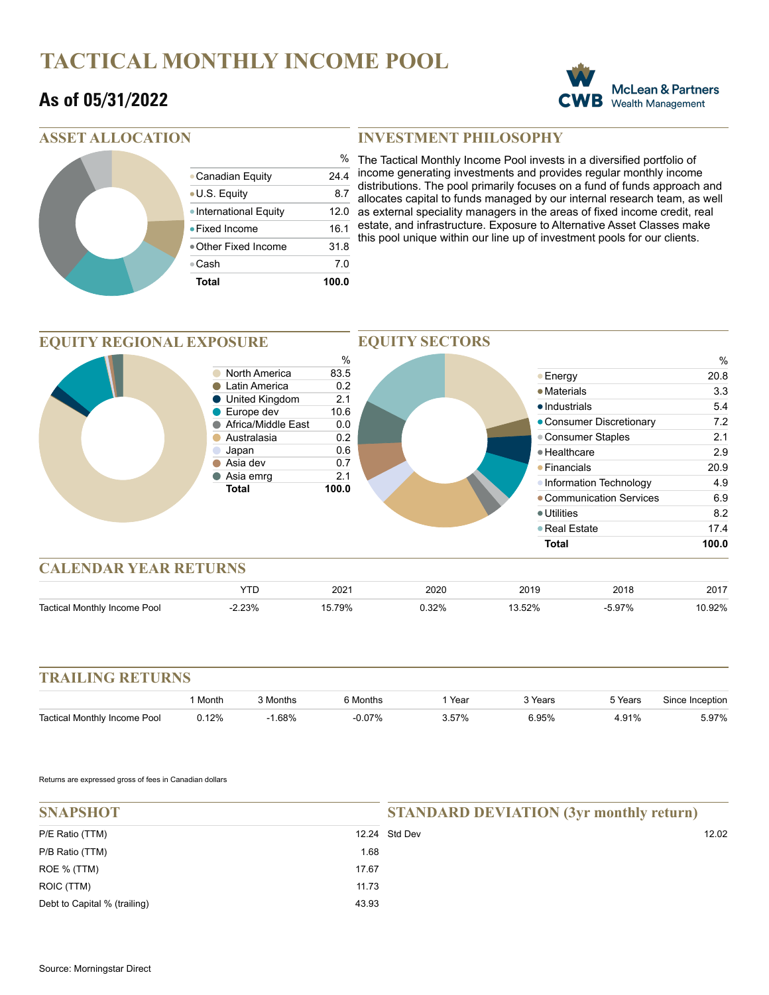# **TACTICAL MONTHLY INCOME POOL**

### **As of 05/31/2022**



### **ASSET ALLOCATION**

|  | Total                  | 100.0         |
|--|------------------------|---------------|
|  | ⊕Cash                  | 70            |
|  | ● Other Fixed Income   | 31.8          |
|  | $\bullet$ Fixed Income | 16.1          |
|  | ● International Equity | 12.0          |
|  | ● U.S. Equity          | 8.7           |
|  | • Canadian Equity      | 24.4          |
|  |                        | $\frac{0}{0}$ |

#### **INVESTMENT PHILOSOPHY**

The Tactical Monthly Income Pool invests in a diversified portfolio of income generating investments and provides regular monthly income distributions. The pool primarily focuses on a fund of funds approach and allocates capital to funds managed by our internal research team, as well as external speciality managers in the areas of fixed income credit, real estate, and infrastructure. Exposure to Alternative Asset Classes make this pool unique within our line up of investment pools for our clients.

#### **EQUITY SECTORS EQUITY REGIONAL EXPOSURE**  $\frac{\%}{83.5}$ % **North America** ● Energy 20.8 Catin America **6.2** • Materials 3.3 ● United Kingdom 2.1 ● Industrials 5.4 Europe dev 10.6  $\bullet$ Consumer Discretionary 7.2 ● Africa/Middle East 0.0 ● Consumer Staples 2.1 Australasia 0.2 Japan 0.6 ●Healthcare 2.9 ● Asia dev 0.7 ● Financials 20.9 Asia emrg 2.1 • Information Technology 4.9 **Total 100.0** Communication Services 6.9 Utilities 8.2 ● Real Estate 17.4 **Total 100.0 CALENDAR YEAR RETURNS**

|                                                | ∩∩<br>20Z | 2020<br>$\sim$ $\sim$ | 2019<br>$\sim$ $\sim$ | 0011<br>∠∪ io | 0017<br>2011 |
|------------------------------------------------|-----------|-----------------------|-----------------------|---------------|--------------|
| م ہ⊺<br>loo <sup>c</sup><br>come<br>onthiv<br> | 79%       | იი                    | - - -                 | 70.           | יחרי         |

| <b>TRAILING RETURNS</b>      |         |          |           |        |         |         |                 |
|------------------------------|---------|----------|-----------|--------|---------|---------|-----------------|
|                              | l Month | 3 Months | 6 Months  | . Year | 3 Years | 5 Years | Since Inception |
| Tactical Monthly Income Pool | 0.12%   | $-1.68%$ | $-0.07\%$ | 3.57%  | 6.95%   | 4.91%   | 5.97%           |

Returns are expressed gross of fees in Canadian dollars

| <b>SNAPSHOT</b>              |       | <b>STANDARD DEVIATION (3yr monthly return)</b> |       |  |  |
|------------------------------|-------|------------------------------------------------|-------|--|--|
|                              |       |                                                |       |  |  |
| P/E Ratio (TTM)              |       | 12.24 Std Dev                                  | 12.02 |  |  |
| P/B Ratio (TTM)              | 1.68  |                                                |       |  |  |
| ROE % (TTM)                  | 17.67 |                                                |       |  |  |
| ROIC (TTM)                   | 11.73 |                                                |       |  |  |
| Debt to Capital % (trailing) | 43.93 |                                                |       |  |  |